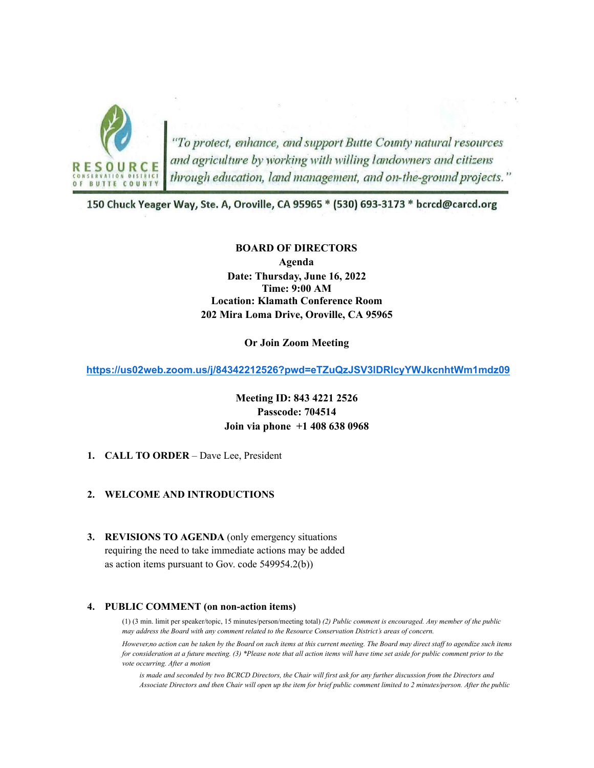

"To protect, enhance, and support Butte County natural resources<br>and agriculture by working with willing landowners and citizens<br>through education, land management, and on-the-ground projects."

150 Chuck Yeager Way, Ste. A, Oroville, CA 95965 \* (530) 693-3173 \* bcrcd@carcd.org

#### **BOARD OF DIRECTORS**

**Agenda Date: Thursday, June 16, 2022 Time: 9:00 AM Location: Klamath Conference Room 202 Mira Loma Drive, Oroville, CA 95965**

**Or Join Zoom Meeting**

**<https://us02web.zoom.us/j/84342212526?pwd=eTZuQzJSV3lDRlcyYWJkcnhtWm1mdz09>**

# **Meeting ID: 843 4221 2526 Passcode: 704514 Join via phone +1 408 638 0968**

**1. CALL TO ORDER** – Dave Lee, President

#### **2. WELCOME AND INTRODUCTIONS**

**3. REVISIONS TO AGENDA** (only emergency situations requiring the need to take immediate actions may be added as action items pursuant to Gov. code 549954.2(b))

#### **4. PUBLIC COMMENT (on non-action items)**

(1) (3 min. limit per speaker/topic, 15 minutes/person/meeting total) *(2) Public comment is encouraged. Any member of the public may address the Board with any comment related to the Resource Conservation District's areas of concern.*

*However,no action can be taken by the Board on such items at this current meeting. The Board may direct staff to agendize such items for consideration at a future meeting. (3) \*Please note that all action items will have time set aside for public comment prior to the vote occurring. After a motion*

*is made and seconded by two BCRCD Directors, the Chair will first ask for any further discussion from the Directors and Associate Directors and then Chair will open up the item for brief public comment limited to 2 minutes/person. After the public*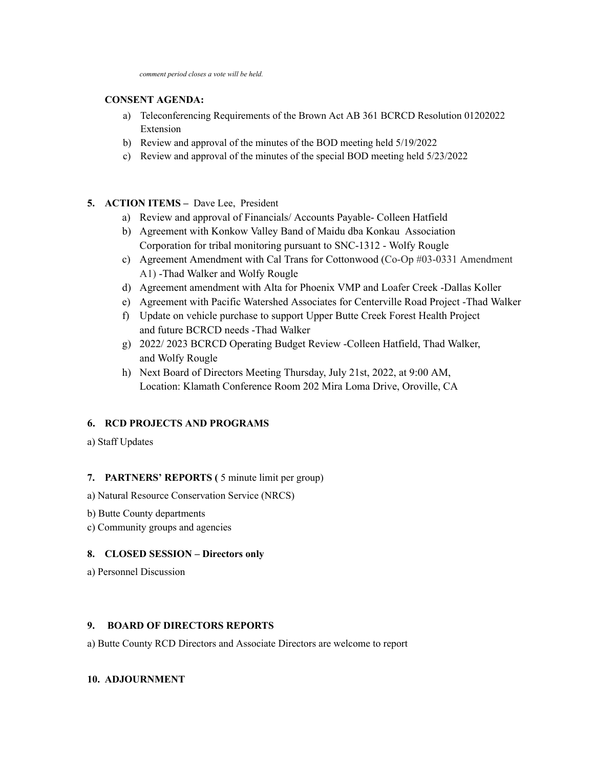### **CONSENT AGENDA:**

- a) Teleconferencing Requirements of the Brown Act AB 361 BCRCD Resolution 01202022 Extension
- b) Review and approval of the minutes of the BOD meeting held 5/19/2022
- c) Review and approval of the minutes of the special BOD meeting held 5/23/2022

# **5. ACTION ITEMS –** Dave Lee, President

- a) Review and approval of Financials/ Accounts Payable- Colleen Hatfield
- b) Agreement with Konkow Valley Band of Maidu dba Konkau Association Corporation for tribal monitoring pursuant to SNC-1312 - Wolfy Rougle
- c) Agreement Amendment with Cal Trans for Cottonwood (Co-Op #03-0331 Amendment A1) -Thad Walker and Wolfy Rougle
- d) Agreement amendment with Alta for Phoenix VMP and Loafer Creek -Dallas Koller
- e) Agreement with Pacific Watershed Associates for Centerville Road Project -Thad Walker
- f) Update on vehicle purchase to support Upper Butte Creek Forest Health Project and future BCRCD needs -Thad Walker
- g) 2022/ 2023 BCRCD Operating Budget Review -Colleen Hatfield, Thad Walker, and Wolfy Rougle
- h) Next Board of Directors Meeting Thursday, July 21st, 2022, at 9:00 AM, Location: Klamath Conference Room 202 Mira Loma Drive, Oroville, CA

# **6. RCD PROJECTS AND PROGRAMS**

a) Staff Updates

# **7. PARTNERS' REPORTS (** 5 minute limit per group)

- a) Natural Resource Conservation Service (NRCS)
- b) Butte County departments
- c) Community groups and agencies

#### **8. CLOSED SESSION – Directors only**

a) Personnel Discussion

### **9. BOARD OF DIRECTORS REPORTS**

a) Butte County RCD Directors and Associate Directors are welcome to report

# **10. ADJOURNMENT**